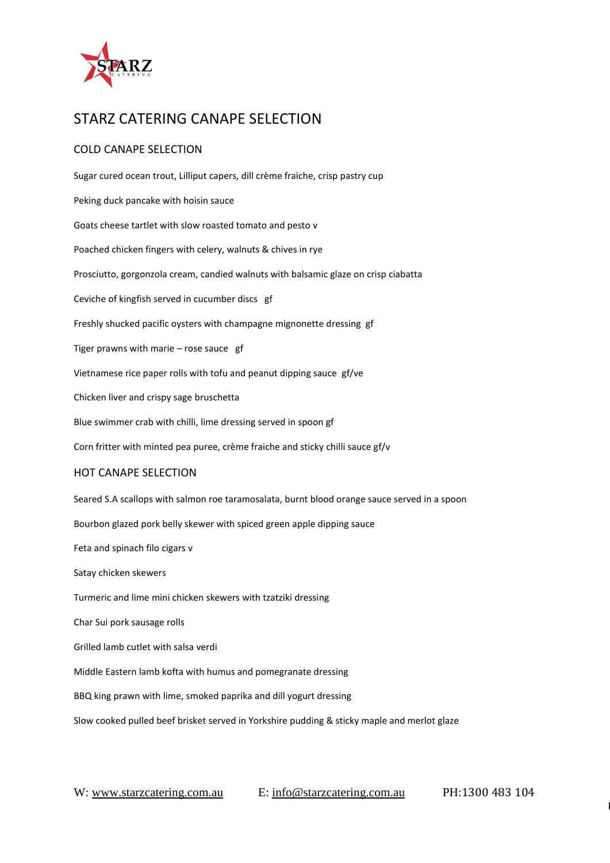

## STARZ CATERING CANAPE SELECTION

### COLD CANAPE SELECTION

Sugar cured ocean trout, Lilliput capers, dill crème fraiche, crisp pastry cup Peking duck pancake with hoisin sauce Goats cheese tartlet with slow roasted tomato and pesto v Poached chicken fingers with celery, walnuts & chives in rye Prosciutto, gorgonzola cream, candied walnuts with balsamic glaze on crisp ciabatta Ceviche of kingfish served in cucumber discs gf Freshly shucked pacific oysters with champagne mignonette dressing gf Tiger prawns with marie – rose sauce gf Vietnamese rice paper rolls with tofu and peanut dipping sauce gf/ve Chicken liver and crispy sage bruschetta Blue swimmer crab with chilli, lime dressing served in spoon gf Corn fritter with minted pea puree, crème fraiche and sticky chilli sauce gf/v HOT CANAPE SELECTION Seared S.A scallops with salmon roe taramosalata, burnt blood orange sauce served in a spoon Bourbon glazed pork belly skewer with spiced green apple dipping sauce Feta and spinach filo cigars v Satay chicken skewers Turmeric and lime mini chicken skewers with tzatziki dressing Char Sui pork sausage rolls Grilled lamb cutlet with salsa verdi Middle Eastern lamb kofta with humus and pomegranate dressing BBQ king prawn with lime, smoked paprika and dill yogurt dressing Slow cooked pulled beef brisket served in Yorkshire pudding & sticky maple and merlot glaze

E: costa@starzcatering.com.au RAMSGATE BEACH, SYDNEY, NSW 2217 W: starzcatering.com.au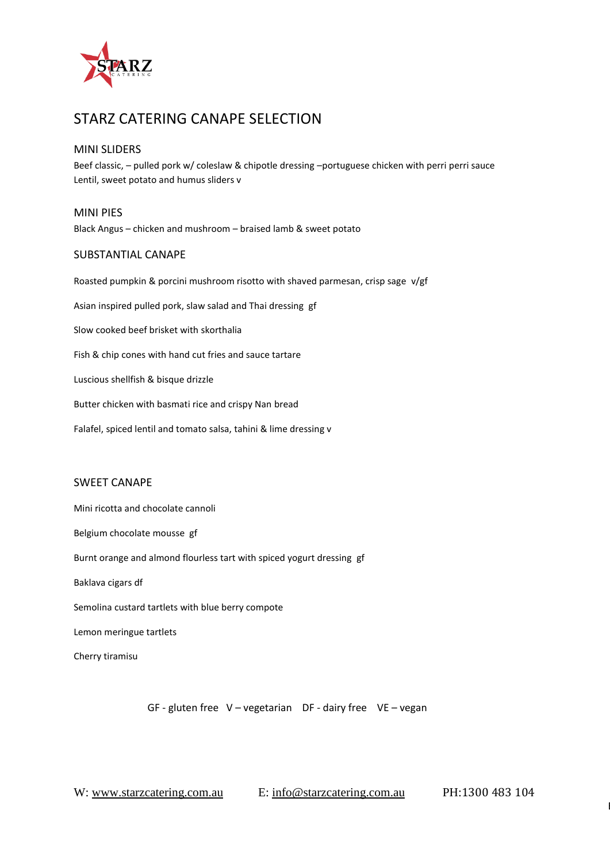

### STARZ CATERING CANAPE SELECTION

#### MINI SLIDERS

Beef classic, – pulled pork w/ coleslaw & chipotle dressing –portuguese chicken with perri perri sauce Lentil, sweet potato and humus sliders v

MINI PIES Black Angus – chicken and mushroom – braised lamb & sweet potato

#### SUBSTANTIAL CANAPE

Roasted pumpkin & porcini mushroom risotto with shaved parmesan, crisp sage v/gf Asian inspired pulled pork, slaw salad and Thai dressing gf Slow cooked beef brisket with skorthalia Fish & chip cones with hand cut fries and sauce tartare Luscious shellfish & bisque drizzle Butter chicken with basmati rice and crispy Nan bread Falafel, spiced lentil and tomato salsa, tahini & lime dressing v

#### SWEET CANAPE

Mini ricotta and chocolate cannoli Belgium chocolate mousse gf Burnt orange and almond flourless tart with spiced yogurt dressing gf Baklava cigars df Semolina custard tartlets with blue berry compote Lemon meringue tartlets Cherry tiramisu

GF - gluten free V – vegetarian DF - dairy free VE – vegan

E: costa@starzcatering.com.au RAMSGATE BEACH, SYDNEY, NSW 2217 W: starzcatering.com.au